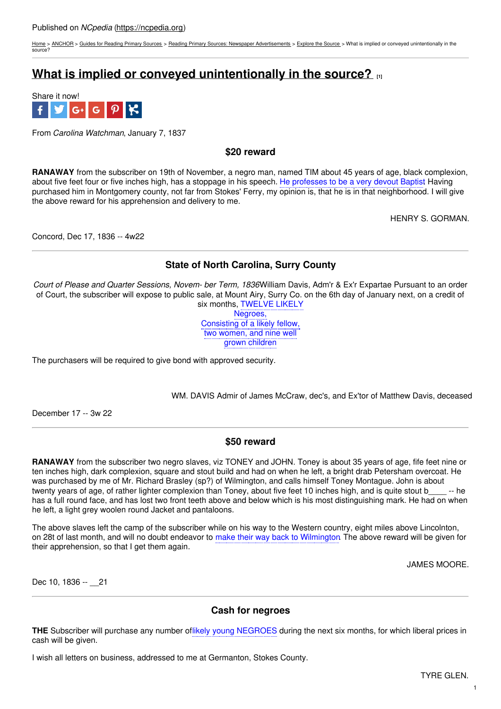[Home](https://ncpedia.org/) > [ANCHOR](https://ncpedia.org/anchor/anchor) > Guides for [Reading](https://ncpedia.org/anchor/guides-reading-primary) Primary Sources > Reading Primary Sources: Newspaper [Advertisements](https://ncpedia.org/anchor/reading-primary-sources-3) > [Explore](https://ncpedia.org/anchor/explore-source-1) the Source > What is implied or conveyed unintentionally in the source?

# **What is implied or conveyed [unintentionally](https://ncpedia.org/anchor/what-implied-or-conveyed-2) in the source? [1]**



From *Carolina Watchman*, January 7, 1837

**\$20 reward**

**RANAWAY** from the subscriber on 19th of November, a negro man, named TIM about 45 years of age, black complexion, about five feet four or five inches high, has a stoppage in his speech. He professes to be a very devout Baptist Having purchased him in Montgomery county, not far from Stokes' Ferry, my opinion is, that he is in that neighborhood. I will give the above reward for his apprehension and delivery to me.

HENRY S. GORMAN.

Concord, Dec 17, 1836 -- 4w22

# **State of North Carolina, Surry County**

*Court of Please and Quarter Sessions, Novem- ber Term, 1836*William Davis, Adm'r & Ex'r Expartae Pursuant to an order of Court, the subscriber will expose to public sale, at Mount Airy, Surry Co. on the 6th day of January next, on a credit of six months, TWELVE LIKELY

Negroes, Consisting of a likely fellow, two women, and nine well grown children

The purchasers will be required to give bond with approved security.

WM. DAVIS Admir of James McCraw, dec's, and Ex'tor of Matthew Davis, deceased

December 17 -- 3w 22

## **\$50 reward**

**RANAWAY** from the subscriber two negro slaves, viz TONEY and JOHN. Toney is about 35 years of age, fife feet nine or ten inches high, dark complexion, square and stout build and had on when he left, a bright drab Petersham overcoat. He was purchased by me of Mr. Richard Brasley (sp?) of Wilmington, and calls himself Toney Montague. John is about twenty years of age, of rather lighter complexion than Toney, about five feet 10 inches high, and is quite stout b\_\_\_\_ -- he has a full round face, and has lost two front teeth above and below which is his most distinguishing mark. He had on when he left, a light grey woolen round Jacket and pantaloons.

The above slaves left the camp of the subscriber while on his way to the Western country, eight miles above Lincolnton, on 28t of last month, and will no doubt endeavor to make their way back to Wilmington. The above reward will be given for their apprehension, so that I get them again.

JAMES MOORE.

Dec 10, 1836 -- 21

# **Cash for negroes**

**THE** Subscriber will purchase any number oflikely young NEGROES during the next six months, for which liberal prices in cash will be given.

I wish all letters on business, addressed to me at Germanton, Stokes County.